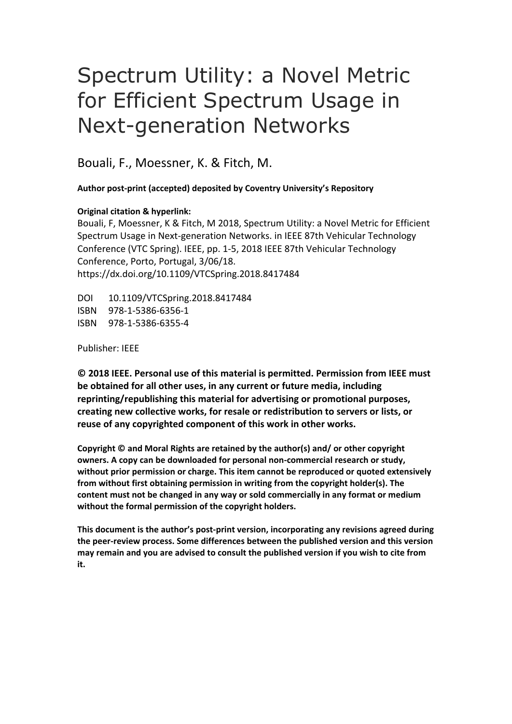# Spectrum Utility: a Novel Metric for Efficient Spectrum Usage in Next-generation Networks

Bouali, F., Moessner, K. & Fitch, M.

**Author post-print (accepted) deposited by Coventry University's Repository**

### **Original citation & hyperlink:**

Bouali, F, Moessner, K & Fitch, M 2018, Spectrum Utility: a Novel Metric for Efficient Spectrum Usage in Next-generation Networks. in IEEE 87th Vehicular Technology Conference (VTC Spring). IEEE, pp. 1-5, 2018 IEEE 87th Vehicular Technology Conference, Porto, Portugal, 3/06/18. https://dx.doi.org/10.1109/VTCSpring.2018.8417484

DOI 10.1109/VTCSpring.2018.8417484 ISBN 978-1-5386-6356-1 ISBN 978-1-5386-6355-4

Publisher: IEEE

**© 2018 IEEE. Personal use of this material is permitted. Permission from IEEE must be obtained for all other uses, in any current or future media, including reprinting/republishing this material for advertising or promotional purposes, creating new collective works, for resale or redistribution to servers or lists, or reuse of any copyrighted component of this work in other works.** 

**Copyright © and Moral Rights are retained by the author(s) and/ or other copyright owners. A copy can be downloaded for personal non-commercial research or study, without prior permission or charge. This item cannot be reproduced or quoted extensively from without first obtaining permission in writing from the copyright holder(s). The content must not be changed in any way or sold commercially in any format or medium without the formal permission of the copyright holders.** 

**This document is the author's post-print version, incorporating any revisions agreed during the peer-review process. Some differences between the published version and this version may remain and you are advised to consult the published version if you wish to cite from it.**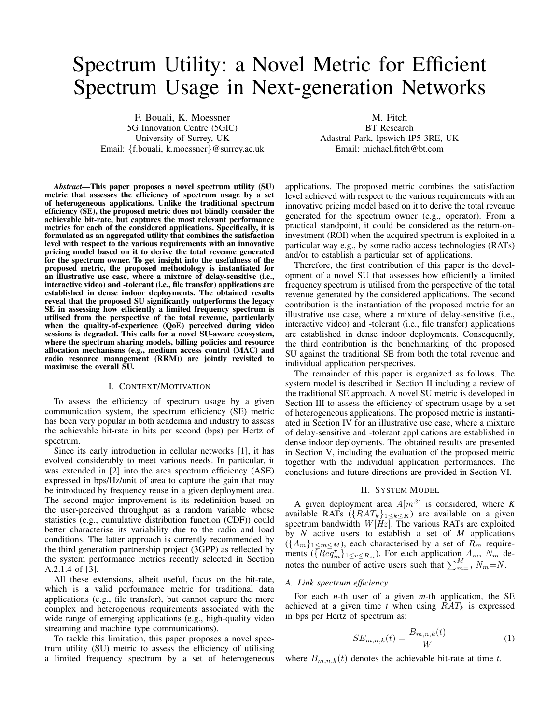## Spectrum Utility: a Novel Metric for Efficient Spectrum Usage in Next-generation Networks

F. Bouali, K. Moessner 5G Innovation Centre (5GIC) University of Surrey, UK Email: *{*f.bouali, k.moessner*}*@surrey.ac.uk

M. Fitch BT Research Adastral Park, Ipswich IP5 3RE, UK Email: michael.ftch@bt.com

*Abstract*—This paper proposes a novel spectrum utility (SU) metric that assesses the efficiency of spectrum usage by a set of heterogeneous applications. Unlike the traditional spectrum effciency (SE), the proposed metric does not blindly consider the achievable bit-rate, but captures the most relevant performance metrics for each of the considered applications. Specifcally, it is formulated as an aggregated utility that combines the satisfaction level with respect to the various requirements with an innovative pricing model based on it to derive the total revenue generated for the spectrum owner. To get insight into the usefulness of the proposed metric, the proposed methodology is instantiated for an illustrative use case, where a mixture of delay-sensitive (i.e., interactive video) and -tolerant (i.e., fle transfer) applications are established in dense indoor deployments. The obtained results reveal that the proposed SU signifcantly outperforms the legacy SE in assessing how efficiently a limited frequency spectrum is utilised from the perspective of the total revenue, particularly when the quality-of-experience (QoE) perceived during video sessions is degraded. This calls for a novel SU-aware ecosystem, where the spectrum sharing models, billing policies and resource allocation mechanisms (e.g., medium access control (MAC) and radio resource management (RRM)) are jointly revisited to maximise the overall SU.

#### I. CONTEXT/MOTIVATION

To assess the efficiency of spectrum usage by a given communication system, the spectrum efficiency (SE) metric has been very popular in both academia and industry to assess the achievable bit-rate in bits per second (bps) per Hertz of spectrum.

Since its early introduction in cellular networks [1], it has evolved considerably to meet various needs. In particular, it was extended in [2] into the area spectrum efficiency (ASE) expressed in bps/Hz/unit of area to capture the gain that may be introduced by frequency reuse in a given deployment area. The second major improvement is its redefnition based on the user-perceived throughput as a random variable whose statistics (e.g., cumulative distribution function (CDF)) could better characterise its variability due to the radio and load conditions. The latter approach is currently recommended by the third generation partnership project (3GPP) as refected by the system performance metrics recently selected in Section A.2.1.4 of [3].

All these extensions, albeit useful, focus on the bit-rate, which is a valid performance metric for traditional data applications (e.g., fle transfer), but cannot capture the more complex and heterogenous requirements associated with the wide range of emerging applications (e.g., high-quality video streaming and machine type communications).

To tackle this limitation, this paper proposes a novel spectrum utility (SU) metric to assess the effciency of utilising a limited frequency spectrum by a set of heterogeneous applications. The proposed metric combines the satisfaction level achieved with respect to the various requirements with an innovative pricing model based on it to derive the total revenue generated for the spectrum owner (e.g., operator). From a practical standpoint, it could be considered as the return-oninvestment (ROI) when the acquired spectrum is exploited in a particular way e.g., by some radio access technologies (RATs) and/or to establish a particular set of applications.

Therefore, the frst contribution of this paper is the development of a novel SU that assesses how efficiently a limited frequency spectrum is utilised from the perspective of the total revenue generated by the considered applications. The second contribution is the instantiation of the proposed metric for an illustrative use case, where a mixture of delay-sensitive (i.e., interactive video) and -tolerant (i.e., fle transfer) applications are established in dense indoor deployments. Consequently, the third contribution is the benchmarking of the proposed SU against the traditional SE from both the total revenue and individual application perspectives.

The remainder of this paper is organized as follows. The system model is described in Section II including a review of the traditional SE approach. A novel SU metric is developed in Section III to assess the efficiency of spectrum usage by a set of heterogeneous applications. The proposed metric is instantiated in Section IV for an illustrative use case, where a mixture of delay-sensitive and -tolerant applications are established in dense indoor deployments. The obtained results are presented in Section V, including the evaluation of the proposed metric together with the individual application performances. The conclusions and future directions are provided in Section VI.

#### II. SYSTEM MODEL

A given deployment area  $A[m^2]$  is considered, where *K* available RATs  $({\lbrace RAT_k \rbrace}_{1 \leq k \leq K})$  are available on a given spectrum bandwidth  $W[Hz]$ . The various RATs are exploited by *N* active users to establish a set of *M* applications  $(\{A_m\}_{1 \le m \le M})$ , each characterised by a set of  $R_m$  requirements  $(\{Req_m^r\}_{1 \le r \le R_m})$ . For each application  $A_m$ ,  $N_m$  de-∑  $A_m$ ,  $N_m$  denotes the number of active users such that  $\sum_{m=1}^{M} N_m = N$ .

#### *A. Link spectrum effciency*

For each *n*-th user of a given *m*-th application, the SE achieved at a given time *t* when using  $RAT_k$  is expressed in bps per Hertz of spectrum as:

$$
SE_{m,n,k}(t) = \frac{B_{m,n,k}(t)}{W}
$$
 (1)

where  $B_{m,n,k}(t)$  denotes the achievable bit-rate at time *t*.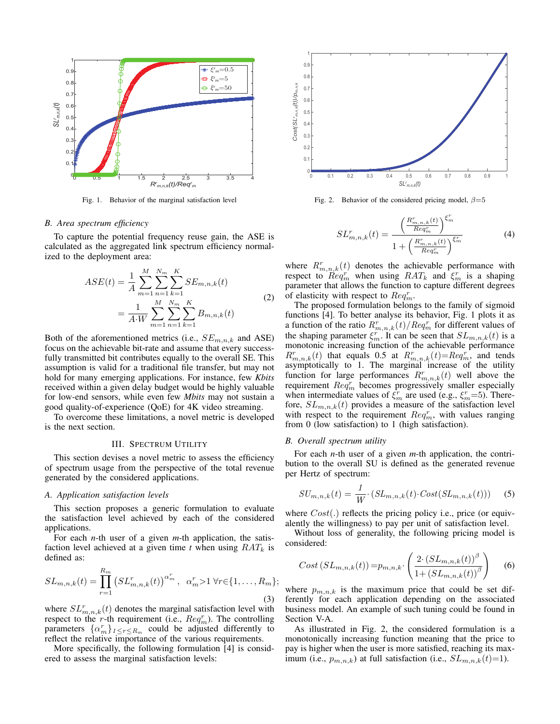

Fig. 1. Behavior of the marginal satisfaction level

#### *B. Area spectrum effciency*

To capture the potential frequency reuse gain, the ASE is calculated as the aggregated link spectrum efficiency normalized to the deployment area:

$$
ASE(t) = \frac{1}{A} \sum_{m=1}^{M} \sum_{n=1}^{N_m} \sum_{k=1}^{K} SE_{m,n,k}(t)
$$

$$
= \frac{1}{A \cdot W} \sum_{m=1}^{M} \sum_{n=1}^{N_m} \sum_{k=1}^{K} B_{m,n,k}(t)
$$
(2)

Both of the aforementioned metrics (i.e.,  $SE_{m,n,k}$  and ASE) focus on the achievable bit-rate and assume that every successfully transmitted bit contributes equally to the overall SE. This assumption is valid for a traditional fle transfer, but may not hold for many emerging applications. For instance, few *Kbits*  received within a given delay budget would be highly valuable for low-end sensors, while even few *Mbits* may not sustain a good quality-of-experience (QoE) for 4K video streaming.

To overcome these limitations, a novel metric is developed is the next section.

#### III. SPECTRUM UTILITY

This section devises a novel metric to assess the efficiency of spectrum usage from the perspective of the total revenue generated by the considered applications.

#### *A. Application satisfaction levels*

This section proposes a generic formulation to evaluate the satisfaction level achieved by each of the considered applications.

For each *n*-th user of a given *m*-th application, the satisfaction level achieved at a given time *t* when using *RAT<sup>k</sup>* is defned as:

$$
SL_{m,n,k}(t) = \prod_{r=1}^{R_m} (SL_{m,n,k}^r(t))^{\alpha_m^r}, \ \alpha_m^r > 1 \ \forall r \in \{1, \dots, R_m\};
$$
\n(3)

where  $SL_{m,n,k}^r(t)$  denotes the marginal satisfaction level with respect to the *r*-th requirement (i.e.,  $Req_m^r$ ). The controlling parameters  $\{\alpha_m^r\}_{1 \leq r \leq R_m}$  could be adjusted differently to refect the relative importance of the various requirements.

More specifcally, the following formulation [4] is considered to assess the marginal satisfaction levels:



Fig. 2. Behavior of the considered pricing model, *β*=5

$$
SL_{m,n,k}^{r}(t) = \frac{\left(\frac{R_{m,n,k}^{r}(t)}{Req_{m}^{r}}\right)^{\xi_{m}^{r}}}{1 + \left(\frac{R_{m,n,k}^{r}(t)}{Req_{m}^{r}}\right)^{\xi_{m}^{r}}}
$$
(4)

where  $R_{m,n,k}^{r}(t)$  denotes the achievable performance with respect to  $\overline{Req}_m^r$  when using  $RAT_k$  and  $\xi_m^r$  is a shaping parameter that allows the function to capture different degrees of elasticity with respect to *Req<sup>r</sup> m*.

The proposed formulation belongs to the family of sigmoid functions [4]. To better analyse its behavior, Fig. 1 plots it as a function of the ratio  $R_{m,n,k}^r(t)/Req_m^r$  for different values of the shaping parameter  $\xi_m^r$ . It can be seen that  $SL_{m,n,k}(t)$  is a monotonic increasing function of the achievable performance  $R_{m,n,k}^r(t)$  that equals 0.5 at  $R_{m,n,k}^r(t) = R e q_m^r$ , and tends asymptotically to 1. The marginal increase of the utility function for large performances  $R_{m,n,k}^r(t)$  well above the requirement  $Req_m^r$  becomes progressively smaller especially when intermediate values of  $\xi_m^r$  are used (e.g.,  $\xi_m^r = 5$ ). Therefore,  $SL_{m,n,k}(t)$  provides a measure of the satisfaction level with respect to the requirement  $Req_m^r$ , with values ranging from 0 (low satisfaction) to 1 (high satisfaction).

#### *B. Overall spectrum utility*

For each *n*-th user of a given *m*-th application, the contribution to the overall SU is defned as the generated revenue per Hertz of spectrum:

$$
SU_{m,n,k}(t) = \frac{1}{W} \cdot (SL_{m,n,k}(t) \cdot Cost(SL_{m,n,k}(t))) \tag{5}
$$

where  $Cost(.)$  reflects the pricing policy i.e., price (or equivalently the willingness) to pay per unit of satisfaction level.

Without loss of generality, the following pricing model is considered:

$$
Cost\left( SL_{m,n,k}(t) \right) = p_{m,n,k} \cdot \left( \frac{2 \cdot \left( SL_{m,n,k}(t) \right)^{\beta}}{1 + \left( SL_{m,n,k}(t) \right)^{\beta}} \right) \tag{6}
$$

where  $p_{m,n,k}$  is the maximum price that could be set differently for each application depending on the associated business model. An example of such tuning could be found in Section V-A.

As illustrated in Fig. 2, the considered formulation is a monotonically increasing function meaning that the price to pay is higher when the user is more satisfed, reaching its maximum (i.e.,  $p_{m,n,k}$ ) at full satisfaction (i.e.,  $SL_{m,n,k}(t)=1$ ).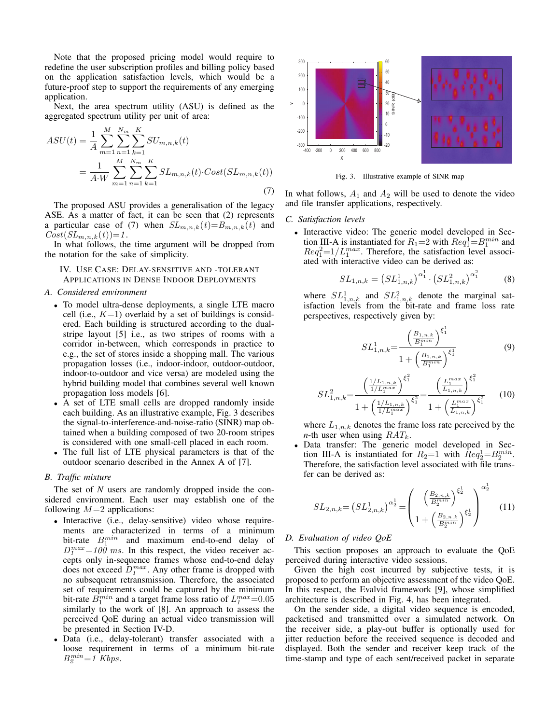Note that the proposed pricing model would require to redefne the user subscription profles and billing policy based on the application satisfaction levels, which would be a future-proof step to support the requirements of any emerging application.

Next, the area spectrum utility (ASU) is defned as the aggregated spectrum utility per unit of area:

$$
ASU(t) = \frac{1}{A} \sum_{m=1}^{M} \sum_{n=1}^{N_m} \sum_{k=1}^{K} SU_{m,n,k}(t)
$$
  
= 
$$
\frac{1}{A \cdot W} \sum_{m=1}^{M} \sum_{n=1}^{N_m} \sum_{k=1}^{K} SL_{m,n,k}(t) \cdot Cost(SL_{m,n,k}(t))
$$
(7)

The proposed ASU provides a generalisation of the legacy ASE. As a matter of fact, it can be seen that (2) represents a particular case of (7) when  $SL_{m,n,k}(t) = B_{m,n,k}(t)$  and  $Cost(SL_{m,n,k}(t)) = 1$ .

In what follows, the time argument will be dropped from the notation for the sake of simplicity.

IV. USE CASE: DELAY-SENSITIVE AND -TOLERANT APPLICATIONS IN DENSE INDOOR DEPLOYMENTS

#### *A. Considered environment*

- *•* To model ultra-dense deployments, a single LTE macro cell (i.e.,  $K=1$ ) overlaid by a set of buildings is considered. Each building is structured according to the dualstripe layout [5] i.e., as two stripes of rooms with a corridor in-between, which corresponds in practice to e.g., the set of stores inside a shopping mall. The various propagation losses (i.e., indoor-indoor, outdoor-outdoor, indoor-to-outdoor and vice versa) are modeled using the hybrid building model that combines several well known propagation loss models [6].
- *•* A set of LTE small cells are dropped randomly inside each building. As an illustrative example, Fig. 3 describes the signal-to-interference-and-noise-ratio (SINR) map obtained when a building composed of two 20-room stripes is considered with one small-cell placed in each room.
- The full list of LTE physical parameters is that of the outdoor scenario described in the Annex A of [7].

#### *B. Traffc mixture*

The set of *N* users are randomly dropped inside the considered environment. Each user may establish one of the following  $M=2$  applications:

- Interactive (i.e., delay-sensitive) video whose requirements are characterized in terms of a minimum bit-rate  $B_1^{min}$  and maximum end-to-end delay of  $D_1^{max}=100$  *ms*. In this respect, the video receiver accepts only in-sequence frames whose end-to-end delay does not exceed  $D_1^{max}$ . Any other frame is dropped with no subsequent retransmission. Therefore, the associated set of requirements could be captured by the minimum bit-rate  $\hat{B}_1^{min}$  and a target frame loss ratio of  $L_1^{max}=0.05$ similarly to the work of [8]. An approach to assess the perceived QoE during an actual video transmission will be presented in Section IV-D.
- *•* Data (i.e., delay-tolerant) transfer associated with a loose requirement in terms of a minimum bit-rate  $B_2^{min}=1$  *Kbps.*



Fig. 3. Illustrative example of SINR map

In what follows,  $A_1$  and  $A_2$  will be used to denote the video and fle transfer applications, respectively.

#### *C. Satisfaction levels*

*•* Interactive video: The generic model developed in Sec tion III-A is instantiated for  $R_1 = 2$  with  $Req_1^1 = B_1^{min}$  and  $Req_1^2=1/L_1^{max}$ . Therefore, the satisfaction level associated with interactive video can be derived as:

$$
SL_{1,n,k} = \left( SL_{1,n,k}^1 \right)^{\alpha_1^1} \cdot \left( SL_{1,n,k}^2 \right)^{\alpha_1^2} \tag{8}
$$

where  $SL_{1,n,k}^1$  and  $SL_{1,n,k}^2$  denote the marginal satisfaction levels from the bit-rate and frame loss rate perspectives, respectively given by:

$$
SL_{1,n,k}^{1} = \frac{\left(\frac{B_{1,n,k}}{B_1^{min}}\right)^{\xi_1^{1}}}{1 + \left(\frac{B_{1,n,k}}{B_1^{min}}\right)^{\xi_1^{1}}} \tag{9}
$$

$$
SL_{1,n,k}^2 = \frac{\left(\frac{1/L_{1,n,k}}{1/L_1^{max}}\right)^{\xi_1^2}}{1 + \left(\frac{1/L_{1,n,k}}{1/L_1^{max}}\right)^{\xi_1^2}} = \frac{\left(\frac{L_1^{max}}{L_{1,n,k}}\right)^{\xi_1^2}}{1 + \left(\frac{L_1^{max}}{L_{1,n,k}}\right)^{\xi_1^2}}
$$
(10)

where  $L_{1,n,k}$  denotes the frame loss rate perceived by the *n*-th user when using  $RAT_k$ .

*•* Data transfer: The generic model developed in Sec tion III-A is instantiated for  $R_2=1$  with  $Req_2^1=B_2^{min}$ . Therefore, the satisfaction level associated with fle transfer can be derived as:

$$
SL_{2,n,k} = \left( SL_{2,n,k}^1 \right)^{\alpha_2^1} = \left( \frac{\left( \frac{B_{2,n,k}}{B_2^{min}} \right)^{\xi_2^1}}{1 + \left( \frac{B_{2,n,k}}{B_2^{min}} \right)^{\xi_2^1}} \right)^{\alpha_2^1} \tag{11}
$$

#### *D. Evaluation of video QoE*

This section proposes an approach to evaluate the QoE perceived during interactive video sessions.

Given the high cost incurred by subjective tests, it is proposed to perform an objective assessment of the video QoE. In this respect, the Evalvid framework [9], whose simplifed architecture is described in Fig. 4, has been integrated.

On the sender side, a digital video sequence is encoded, packetised and transmitted over a simulated network. On the receiver side, a play-out buffer is optionally used for jitter reduction before the received sequence is decoded and displayed. Both the sender and receiver keep track of the time-stamp and type of each sent/received packet in separate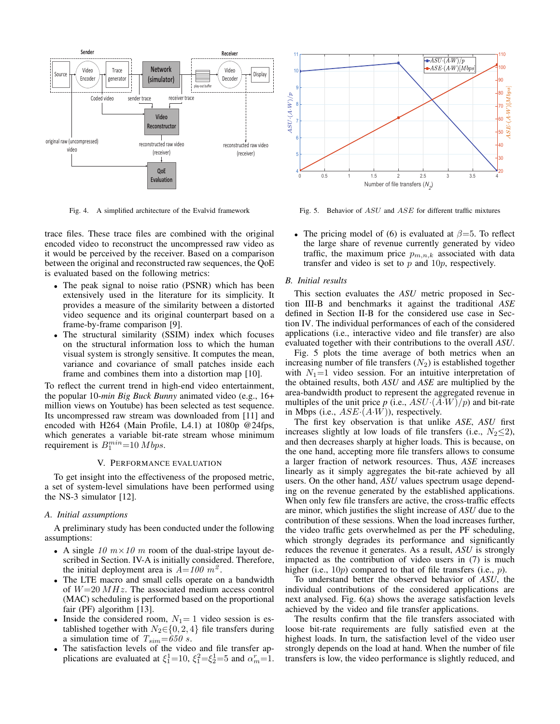

Fig. 4. A simplifed architecture of the Evalvid framework

trace fles. These trace fles are combined with the original encoded video to reconstruct the uncompressed raw video as it would be perceived by the receiver. Based on a comparison between the original and reconstructed raw sequences, the QoE is evaluated based on the following metrics:

- *•* The peak signal to noise ratio (PSNR) which has been extensively used in the literature for its simplicity. It provides a measure of the similarity between a distorted video sequence and its original counterpart based on a frame-by-frame comparison [9].
- *•* The structural similarity (SSIM) index which focuses on the structural information loss to which the human visual system is strongly sensitive. It computes the mean, variance and covariance of small patches inside each frame and combines them into a distortion map [10].

To refect the current trend in high-end video entertainment, the popular 10-*min Big Buck Bunny* animated video (e.g., 16+ million views on Youtube) has been selected as test sequence. Its uncompressed raw stream was downloaded from [11] and encoded with H264 (Main Profle, L4.1) at 1080p @24fps, which generates a variable bit-rate stream whose minimum requirement is  $B_1^{min}$ =10 *Mbps*.

#### V. PERFORMANCE EVALUATION

To get insight into the effectiveness of the proposed metric, a set of system-level simulations have been performed using the NS-3 simulator [12].

#### *A. Initial assumptions*

A preliminary study has been conducted under the following assumptions:

- A single 10  $m \times 10$  *m* room of the dual-stripe layout described in Section. IV-A is initially considered. Therefore, the initial deployment area is  $A=100 \text{ m}^2$ .
- *•* The LTE macro and small cells operate on a bandwidth of *W*=20 *MHz*. The associated medium access control (MAC) scheduling is performed based on the proportional fair (PF) algorithm [13].
- Inside the considered room,  $N_1 = 1$  video session is established together with  $N_2 \in \{0, 2, 4\}$  file transfers during a simulation time of  $T_{sim}=650$  *s*.
- *•* The satisfaction levels of the video and fle transfer applications are evaluated at  $\xi_1^1$  = 10,  $\xi_1^2$  =  $\xi_2^1$  = 5 and  $\alpha_m^r$  = 1.



Fig. 5. Behavior of *ASU* and *ASE* for different traffc mixtures

*•* The pricing model of (6) is evaluated at *β*=5. To refect the large share of revenue currently generated by video traffic, the maximum price  $p_{m,n,k}$  associated with data transfer and video is set to *p* and 10*p*, respectively.

#### *B. Initial results*

This section evaluates the *ASU* metric proposed in Section III-B and benchmarks it against the traditional *ASE*  defned in Section II-B for the considered use case in Section IV. The individual performances of each of the considered applications (i.e., interactive video and fle transfer) are also evaluated together with their contributions to the overall *ASU*.

Fig. 5 plots the time average of both metrics when an increasing number of file transfers  $(N_2)$  is established together with  $N_1=1$  video session. For an intuitive interpretation of the obtained results, both *ASU* and *ASE* are multiplied by the area-bandwidth product to represent the aggregated revenue in multiples of the unit price  $p$  (i.e.,  $ASU \cdot (A \cdot W)/p$ ) and bit-rate in Mbps (i.e., *ASE·*(*A·W*)), respectively.

The frst key observation is that unlike *ASE*, *ASU* frst increases slightly at low loads of file transfers (i.e.,  $N_2 \leq 2$ ), and then decreases sharply at higher loads. This is because, on the one hand, accepting more fle transfers allows to consume a larger fraction of network resources. Thus, *ASE* increases linearly as it simply aggregates the bit-rate achieved by all users. On the other hand, *ASU* values spectrum usage depending on the revenue generated by the established applications. When only few file transfers are active, the cross-traffic effects are minor, which justifes the slight increase of *ASU* due to the contribution of these sessions. When the load increases further, the video traffc gets overwhelmed as per the PF scheduling, which strongly degrades its performance and significantly reduces the revenue it generates. As a result, *ASU* is strongly impacted as the contribution of video users in (7) is much higher (i.e., 10*p*) compared to that of fle transfers (i.e., *p*).

To understand better the observed behavior of *ASU*, the individual contributions of the considered applications are next analysed. Fig. 6(a) shows the average satisfaction levels achieved by the video and fle transfer applications.

The results confrm that the fle transfers associated with loose bit-rate requirements are fully satisfed even at the highest loads. In turn, the satisfaction level of the video user strongly depends on the load at hand. When the number of fle transfers is low, the video performance is slightly reduced, and